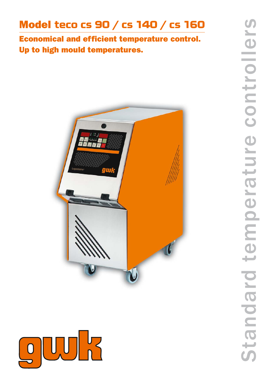## Model teco cs 90 / cs 140 / cs 160

Economical and efficient temperature control. Up to high mould temperatures.